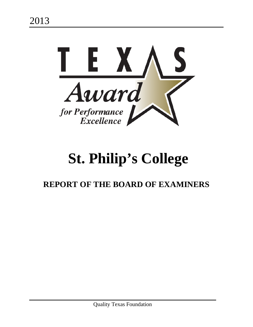

# **St. Philip's College**

# **REPORT OF THE BOARD OF EXAMINERS**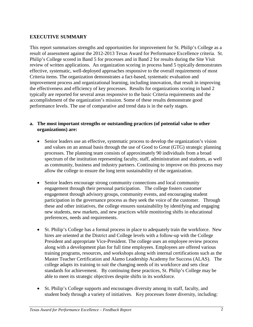#### **EXECUTIVE SUMMARY**

This report summarizes strengths and opportunities for improvement for St. Philip's College as a result of assessment against the 2012-2013 Texas Award for Performance Excellence criteria. St. Philip's College scored in Band 5 for processes and in Band 2 for results during the Site Visit review of written applications. An organization scoring in process band 5 typically demonstrates effective, systematic, well-deployed approaches responsive to the overall requirements of most Criteria items. The organization demonstrates a fact-based, systematic evaluation and improvement process and organizational learning, including innovation, that result in improving the effectiveness and efficiency of key processes. Results for organizations scoring in band 2 typically are reported for several areas responsive to the basic Criteria requirements and the accomplishment of the organization's mission. Some of these results demonstrate good performance levels. The use of comparative and trend data is in the early stages.

#### **a. The most important strengths or outstanding practices (of potential value to other organizations) are:**

- Senior leaders use an effective, systematic process to develop the organization's vision and values on an annual basis through the use of Good to Great (GTG) strategic planning processes. The planning team consists of approximately 90 individuals from a broad spectrum of the institution representing faculty, staff, administration and students, as well as community, business and industry partners. Continuing to improve on this process may allow the college to ensure the long term sustainability of the organization.
- Senior leaders encourage strong community connections and local community engagement through their personal participation. The college fosters customer engagement through advisory groups, community events, and encouraging student participation in the governance process as they seek the voice of the customer. Through these and other initiatives, the college ensures sustainability by identifying and engaging new students, new markets, and new practices while monitoring shifts in educational preferences, needs and requirements.
- St. Philip's College has a formal process in place to adequately train the workforce. New hires are oriented at the District and College levels with a follow-up with the College President and appropriate Vice-President. The college uses an employee review process along with a development plan for full time employees. Employees are offered various training programs, resources, and workshops along with internal certifications such as the Master Teacher Certification and Alamo Leadership Academy for Success (ALAS). The college adapts its training to suit the changing needs of its workforce and sets clear standards for achievement. By continuing these practices, St. Philip's College may be able to meet its strategic objectives despite shifts in its workforce.
- St. Philip's College supports and encourages diversity among its staff, faculty, and student body through a variety of initiatives. Key processes foster diversity, including: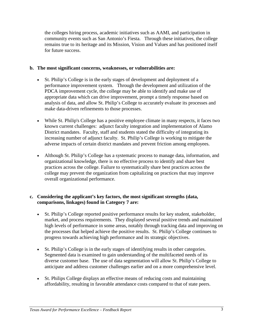the colleges hiring process, academic initiatives such as AAMI, and participation in community events such as San Antonio's Fiesta. Through these initiatives, the college remains true to its heritage and its Mission, Vision and Values and has positioned itself for future success.

#### **b. The most significant concerns, weaknesses, or vulnerabilities are:**

- St. Philip's College is in the early stages of development and deployment of a performance improvement system. Through the development and utilization of the PDCA improvement cycle, the college may be able to identify and make use of appropriate data which can drive improvement, prompt a timely response based on analysis of data, and allow St. Philip's College to accurately evaluate its processes and make data-driven refinements to those processes.
- While St. Philip's College has a positive employee climate in many respects, it faces two known current challenges: adjunct faculty integration and implementation of Alamo District mandates. Faculty, staff and students stated the difficulty of integrating its increasing number of adjunct faculty. St. Philip's College is working to mitigate the adverse impacts of certain district mandates and prevent friction among employees.
- Although St. Philip's College has a systematic process to manage data, information, and organizational knowledge, there is no effective process to identify and share best practices across the college. Failure to systematically share best practices across the college may prevent the organization from capitalizing on practices that may improve overall organizational performance.

#### **c. Considering the applicant's key factors, the most significant strengths (data, comparisons, linkages) found in Category 7 are:**

- St. Philip's College reported positive performance results for key student, stakeholder, market, and process requirements. They displayed several positive trends and maintained high levels of performance in some areas, notably through tracking data and improving on the processes that helped achieve the positive results. St. Philip's College continues to progress towards achieving high performance and its strategic objectives.
- St. Philip's College is in the early stages of identifying results in other categories. Segmented data is examined to gain understanding of the multifaceted needs of its diverse customer base. The use of data segmentation will allow St. Philip's College to anticipate and address customer challenges earlier and on a more comprehensive level.
- St. Philips College displays an effective means of reducing costs and maintaining affordability, resulting in favorable attendance costs compared to that of state peers.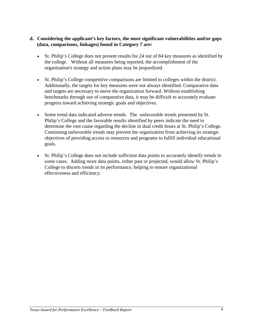#### **d. Considering the applicant's key factors, the most significant vulnerabilities and/or gaps (data, comparisons, linkages) found in Category 7 are:**

- St. Philip's College does not present results for 24 out of 84 key measures as identified by the college. Without all measures being reported, the accomplishment of the organization's strategy and action plans may be jeopardized.
- St. Philip's College competitive comparisons are limited to colleges within the district. Additionally, the targets for key measures were not always identified. Comparative data and targets are necessary to move the organization forward. Without establishing benchmarks through use of comparative data, it may be difficult to accurately evaluate progress toward achieving strategic goals and objectives.
- Some trend data indicated adverse trends. The unfavorable trends presented by St. Philip's College and the favorable results identified by peers indicate the need to determine the root cause regarding the decline in dual credit hours at St. Philip's College. Continuing unfavorable trends may prevent the organization from achieving its strategic objectives of providing access to resources and programs to fulfill individual educational goals.
- St. Philip's College does not include sufficient data points to accurately identify trends in some cases. Adding more data points, either past or projected, would allow St. Philip's College to discern trends in its performance, helping to ensure organizational effectiveness and efficiency.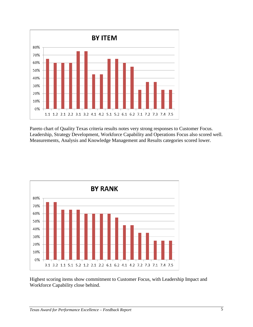

Pareto chart of Quality Texas criteria results notes very strong responses to Customer Focus. Leadership, Strategy Development, Workforce Capability and Operations Focus also scored well. Measurements, Analysis and Knowledge Management and Results categories scored lower.



Highest scoring items show commitment to Customer Focus, with Leadership Impact and Workforce Capability close behind.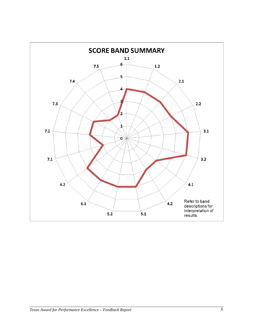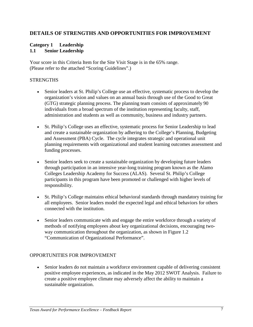#### **DETAILS OF STRENGTHS AND OPPORTUNITIES FOR IMPROVEMENT**

#### **Category 1 Leadership 1.1 Senior Leadership**

Your score in this Criteria Item for the Site Visit Stage is in the 65% range. (Please refer to the attached "Scoring Guidelines".)

#### **STRENGTHS**

- Senior leaders at St. Philip's College use an effective, systematic process to develop the organization's vision and values on an annual basis through use of the Good to Great (GTG) strategic planning process. The planning team consists of approximately 90 individuals from a broad spectrum of the institution representing faculty, staff, administration and students as well as community, business and industry partners.
- St. Philip's College uses an effective, systematic process for Senior Leadership to lead and create a sustainable organization by adhering to the College's Planning, Budgeting and Assessment (PBA) Cycle. The cycle integrates strategic and operational unit planning requirements with organizational and student learning outcomes assessment and funding processes.
- Senior leaders seek to create a sustainable organization by developing future leaders through participation in an intensive year-long training program known as the Alamo Colleges Leadership Academy for Success (ALAS). Several St. Philip's College participants in this program have been promoted or challenged with higher levels of responsibility.
- St. Philip's College maintains ethical behavioral standards through mandatory training for all employees. Senior leaders model the expected legal and ethical behaviors for others connected with the institution.
- Senior leaders communicate with and engage the entire workforce through a variety of methods of notifying employees about key organizational decisions, encouraging twoway communication throughout the organization, as shown in Figure 1.2 "Communication of Organizational Performance".

#### OPPORTUNITIES FOR IMPROVEMENT

• Senior leaders do not maintain a workforce environment capable of delivering consistent positive employee experiences, as indicated in the May 2012 SWOT Analysis. Failure to create a positive employee climate may adversely affect the ability to maintain a sustainable organization.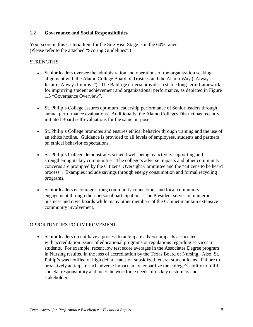#### **1.2 Governance and Social Responsibilities**

Your score in this Criteria Item for the Site Visit Stage is in the 60% range. (Please refer to the attached "Scoring Guidelines".)

#### **STRENGTHS**

- Senior leaders oversee the administration and operations of the organization seeking alignment with the Alamo College Board of Trustees and the Alamo Way ("Always Inspire, Always Improve"). The Baldrige criteria provides a stable long-term framework for improving student achievement and organizational performance, as depicted in Figure 1.3 "Governance Overview".
- St. Philip's College assures optimum leadership performance of Senior leaders through annual performance evaluations. Additionally, the Alamo Colleges District has recently initiated Board self-evaluations for the same purpose.
- St. Philip's College promotes and ensures ethical behavior through training and the use of an ethics hotline. Guidance is provided to all levels of employees, students and partners on ethical behavior expectations.
- St. Philip's College demonstrates societal well-being by actively supporting and strengthening its key communities. The college's adverse impacts and other community concerns are prompted by the Citizens' Oversight Committee and the "citizens to be heard process". Examples include savings through energy consumption and formal recycling programs.
- Senior leaders encourage strong community connections and local community engagement through their personal participation. The President serves on numerous business and civic boards while many other members of the Cabinet maintain extensive community involvement.

#### OPPORTUNITIES FOR IMPROVEMENT

• Senior leaders do not have a process to anticipate adverse impacts associated with accreditation issues of educational programs or regulations regarding services to students. For example, recent low test score averages in the Associates Degree program in Nursing resulted in the loss of accreditation by the Texas Board of Nursing. Also, St. Philip's was notified of high default rates on subsidized federal student loans. Failure to proactively anticipate such adverse impacts may jeopardize the college's ability to fulfill societal responsibility and meet the workforce needs of its key customers and stakeholders.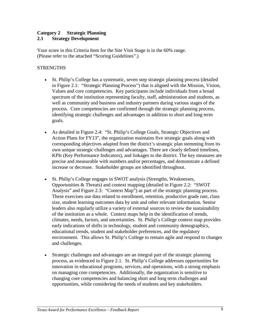#### **Category 2 Strategic Planning 2.1 Strategy Development**

Your score in this Criteria Item for the Site Visit Stage is in the 60% range. (Please refer to the attached "Scoring Guidelines".)

#### **STRENGTHS**

- St. Philip's College has a systematic, seven step strategic planning process (detailed in Figure 2.1: "Strategic Planning Process") that is aligned with the Mission, Vision, Values and core competencies. Key participants include individuals from a broad spectrum of the institution representing faculty, staff, administration and students, as well as community and business and industry partners during various stages of the process. Core competencies are confirmed through the strategic planning process, identifying strategic challenges and advantages in addition to short and long term goals.
- As detailed in Figure 2.4: "St. Philip's College Goals, Strategic Objectives and Action Plans for FY13", the organization maintains five strategic goals along with corresponding objectives adapted from the district's strategic plan stemming from its own unique strategic challenges and advantages. There are clearly defined timelines, KPIs (Key Performance Indicators), and linkages to the district. The key measures are precise and measurable with numbers and/or percentages, and demonstrate a defined increase or decrease. Stakeholder groups are identified throughout.
- St. Philip's College engages in SWOT analysis (Strengths, Weaknesses, Opportunities & Threats) and context mapping (detailed in Figure 2.2: "SWOT Analysis" and Figure 2.3: "Context Map") as part of the strategic planning process. These exercises use data related to enrollment, retention, productive grade rate, class size, student learning outcomes data by unit and other relevant information. Senior leaders also regularly utilize a variety of external sources to review the sustainability of the institution as a whole. Context maps help in the identification of trends, climates, needs, factors, and uncertainties. St. Philip's College context map provides early indications of shifts in technology, student and community demographics, educational trends, student and stakeholder preferences, and the regulatory environment. This allows St. Philip's College to remain agile and respond to changes and challenges.
- Strategic challenges and advantages are an integral part of the strategic planning process, as evidenced in Figure 2.1. St. Philip's College addresses opportunities for innovation in educational programs, services, and operations, with a strong emphasis on managing core competencies. Additionally, the organization is sensitive to changing core competencies and balancing short and long term challenges and opportunities, while considering the needs of students and key stakeholders.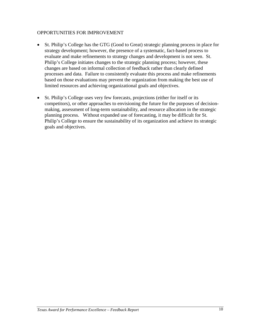- St. Philip's College has the GTG (Good to Great) strategic planning process in place for strategy development; however, the presence of a systematic, fact-based process to evaluate and make refinements to strategy changes and development is not seen. St. Philip's College initiates changes to the strategic planning process; however, these changes are based on informal collection of feedback rather than clearly defined processes and data. Failure to consistently evaluate this process and make refinements based on those evaluations may prevent the organization from making the best use of limited resources and achieving organizational goals and objectives.
- St. Philip's College uses very few forecasts, projections (either for itself or its competitors), or other approaches to envisioning the future for the purposes of decisionmaking, assessment of long-term sustainability, and resource allocation in the strategic planning process. Without expanded use of forecasting, it may be difficult for St. Philip's College to ensure the sustainability of its organization and achieve its strategic goals and objectives.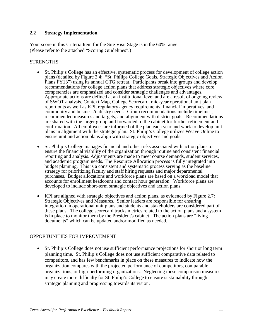#### **2.2 Strategy Implementation**

Your score in this Criteria Item for the Site Visit Stage is in the 60% range. (Please refer to the attached "Scoring Guidelines".)

#### **STRENGTHS**

- St. Philip's College has an effective, systematic process for development of college action plans (detailed by Figure 2.4: "St. Philips College Goals, Strategic Objectives and Action Plans FY13") using its annual GTG retreat. Participants break into groups and develop recommendations for college action plans that address strategic objectives where core competencies are emphasized and consider strategic challenges and advantages. Appropriate actions are defined at an institutional level and are a result of ongoing review of SWOT analysis, Context Map, College Scorecard, mid-year operational unit plan report outs as well as KPI, regulatory agency requirements, financial imperatives, and community and business/industry needs. Group recommendations include timelines, recommended measures and targets, and alignment with district goals. Recommendations are shared with the larger group and forwarded to the cabinet for further refinement and confirmation. All employees are informed of the plan each year and work to develop unit plans in alignment with the strategic plan. St. Philip's College utilizes Weave Online to ensure unit and action plans align with strategic objectives and goals.
- St. Philip's College manages financial and other risks associated with action plans to ensure the financial viability of the organization through routine and consistent financial reporting and analysis. Adjustments are made to meet course demands, student services, and academic program needs. The Resource Allocation process is fully integrated into budget planning. This is a consistent and systematic process serving as the baseline strategy for prioritizing faculty and staff hiring requests and major departmental purchases. Budget allocations and workforce plans are based on a workload model that accounts for enrollment headcount and contact hour generation. Workforce plans are developed to include short-term strategic objectives and action plans.
- KPI are aligned with strategic objectives and action plans, as evidenced by Figure 2.7: Strategic Objectives and Measures. Senior leaders are responsible for ensuring integration in operational unit plans and students and stakeholders are considered part of these plans. The college scorecard tracks metrics related to the action plans and a system is in place to monitor them by the President's cabinet. The action plans are "living documents" which can be updated and/or modified as needed.

#### OPPORTUNITIES FOR IMPROVEMENT

• St. Philip's College does not use sufficient performance projections for short or long term planning time. St. Philip's College does not use sufficient comparative data related to competitors, and has few benchmarks in place on these measures to indicate how the organization compares with the projected performance of competitors, comparable organizations, or high-performing organizations. Neglecting these comparison measures may create more difficulty for St. Philip's College to ensure sustainability through strategic planning and progressing towards its vision.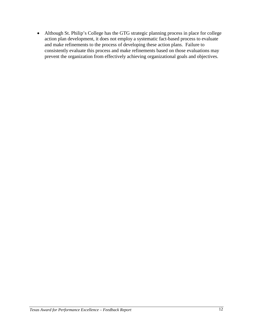• Although St. Philip's College has the GTG strategic planning process in place for college action plan development, it does not employ a systematic fact-based process to evaluate and make refinements to the process of developing these action plans. Failure to consistently evaluate this process and make refinements based on those evaluations may prevent the organization from effectively achieving organizational goals and objectives.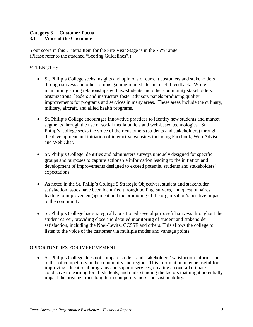#### **Category 3 Customer Focus 3.1 Voice of the Customer**

Your score in this Criteria Item for the Site Visit Stage is in the 75% range. (Please refer to the attached "Scoring Guidelines".)

#### **STRENGTHS**

- St. Philip's College seeks insights and opinions of current customers and stakeholders through surveys and other forums gaining immediate and useful feedback. While maintaining strong relationships with ex-students and other community stakeholders, organizational leaders and instructors foster advisory panels producing quality improvements for programs and services in many areas. These areas include the culinary, military, aircraft, and allied health programs.
- St. Philip's College encourages innovative practices to identify new students and market segments through the use of social media outlets and web-based technologies. St. Philip's College seeks the voice of their customers (students and stakeholders) through the development and initiation of interactive websites including Facebook, Web Advisor, and Web Chat.
- St. Philip's College identifies and administers surveys uniquely designed for specific groups and purposes to capture actionable information leading to the initiation and development of improvements designed to exceed potential students and stakeholders' expectations.
- As noted in the St. Philip's College 5 Strategic Objectives, student and stakeholder satisfaction issues have been identified through polling, surveys, and questionnaires leading to improved engagement and the promoting of the organization's positive impact to the community.
- St. Philip's College has strategically positioned several purposeful surveys throughout the student career, providing close and detailed monitoring of student and stakeholder satisfaction, including the Noel-Levitz, CCSSE and others. This allows the college to listen to the voice of the customer via multiple modes and vantage points.

#### OPPORTUNITIES FOR IMPROVEMENT

• St. Philip's College does not compare student and stakeholders' satisfaction information to that of competitors in the community and region. This information may be useful for improving educational programs and support services, creating an overall climate conducive to learning for all students, and understanding the factors that might potentially impact the organizations long-term competitiveness and sustainability.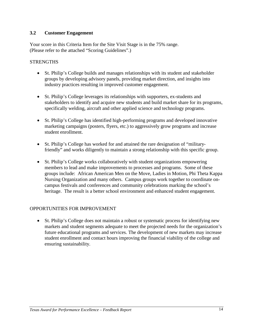#### **3.2 Customer Engagement**

Your score in this Criteria Item for the Site Visit Stage is in the 75% range. (Please refer to the attached "Scoring Guidelines".)

#### **STRENGTHS**

- St. Philip's College builds and manages relationships with its student and stakeholder groups by developing advisory panels, providing market direction, and insights into industry practices resulting in improved customer engagement.
- St. Philip's College leverages its relationships with supporters, ex-students and stakeholders to identify and acquire new students and build market share for its programs, specifically welding, aircraft and other applied science and technology programs.
- St. Philip's College has identified high-performing programs and developed innovative marketing campaigns (posters, flyers, etc.) to aggressively grow programs and increase student enrollment.
- St. Philip's College has worked for and attained the rare designation of "militaryfriendly" and works diligently to maintain a strong relationship with this specific group.
- St. Philip's College works collaboratively with student organizations empowering members to lead and make improvements to processes and programs. Some of these groups include: African American Men on the Move, Ladies in Motion, Phi Theta Kappa Nursing Organization and many others. Campus groups work together to coordinate oncampus festivals and conferences and community celebrations marking the school's heritage. The result is a better school environment and enhanced student engagement.

#### OPPORTUNITIES FOR IMPROVEMENT

• St. Philip's College does not maintain a robust or systematic process for identifying new markets and student segments adequate to meet the projected needs for the organization's future educational programs and services. The development of new markets may increase student enrollment and contact hours improving the financial viability of the college and ensuring sustainability.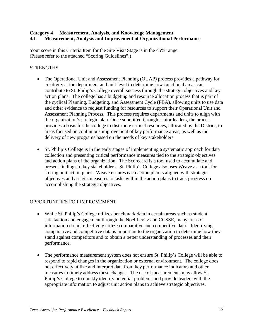#### **Category 4 Measurement, Analysis, and Knowledge Management 4.1 Measurement, Analysis and Improvement of Organizational Performance**

Your score in this Criteria Item for the Site Visit Stage is in the 45% range. (Please refer to the attached "Scoring Guidelines".)

#### **STRENGTHS**

- The Operational Unit and Assessment Planning (OUAP) process provides a pathway for creativity at the department and unit level to determine how functional areas can contribute to St. Philip's College overall success through the strategic objectives and key action plans. The college has a budgeting and resource allocation process that is part of the cyclical Planning, Budgeting, and Assessment Cycle (PBA), allowing units to use data and other evidence to request funding for resources to support their Operational Unit and Assessment Planning Process. This process requires departments and units to align with the organization's strategic plan. Once submitted through senior leaders, the process provides a basis for the college to distribute critical resources, allocated by the District, to areas focused on continuous improvement of key performance areas, as well as the delivery of new programs based on the needs of key stakeholders.
- St. Philip's College is in the early stages of implementing a systematic approach for data collection and presenting critical performance measures tied to the strategic objectives and action plans of the organization. The Scorecard is a tool used to accumulate and present findings to key stakeholders. St. Philip's College also uses Weave as a tool for storing unit action plans. Weave ensures each action plan is aligned with strategic objectives and assigns measures to tasks within the action plans to track progress on accomplishing the strategic objectives.

- While St. Philip's College utilizes benchmark data in certain areas such as student satisfaction and engagement through the Noel Levitz and CCSSE, many areas of information do not effectively utilize comparative and competitive data. Identifying comparative and competitive data is important to the organization to determine how they stand against competitors and to obtain a better understanding of processes and their performance.
- The performance measurement system does not ensure St. Philip's College will be able to respond to rapid changes in the organization or external environment. The college does not effectively utilize and interpret data from key performance indicators and other measures to timely address these changes. The use of measurements may allow St. Philip's College to quickly identify potential problems and provide leaders with the appropriate information to adjust unit action plans to achieve strategic objectives.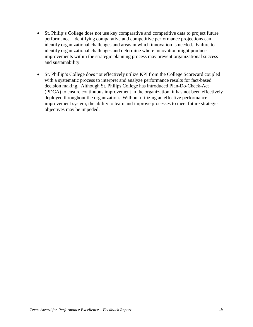- St. Philip's College does not use key comparative and competitive data to project future performance. Identifying comparative and competitive performance projections can identify organizational challenges and areas in which innovation is needed. Failure to identify organizational challenges and determine where innovation might produce improvements within the strategic planning process may prevent organizational success and sustainability.
- St. Phillip's College does not effectively utilize KPI from the College Scorecard coupled with a systematic process to interpret and analyze performance results for fact-based decision making. Although St. Philips College has introduced Plan-Do-Check-Act (PDCA) to ensure continuous improvement in the organization, it has not been effectively deployed throughout the organization. Without utilizing an effective performance improvement system, the ability to learn and improve processes to meet future strategic objectives may be impeded.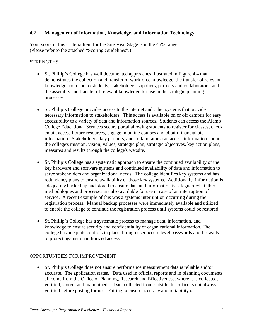#### **4.2 Management of Information, Knowledge, and Information Technology**

Your score in this Criteria Item for the Site Visit Stage is in the 45% range. (Please refer to the attached "Scoring Guidelines".)

#### **STRENGTHS**

- St. Phillip's College has well documented approaches illustrated in Figure 4.4 that demonstrates the collection and transfer of workforce knowledge, the transfer of relevant knowledge from and to students, stakeholders, suppliers, partners and collaborators, and the assembly and transfer of relevant knowledge for use in the strategic planning processes.
- St. Philip's College provides access to the internet and other systems that provide necessary information to stakeholders. This access is available on or off campus for easy accessibility to a variety of data and information sources. Students can access the Alamo College Educational Services secure portal allowing students to register for classes, check email, access library resources, engage in online courses and obtain financial aid information. Stakeholders, key partners, and collaborators can access information about the college's mission, vision, values, strategic plan, strategic objectives, key action plans, measures and results through the college's website.
- St. Philip's College has a systematic approach to ensure the continued availability of the key hardware and software systems and continued availability of data and information to serve stakeholders and organizational needs. The college identifies key systems and has redundancy plans to ensure availability of those key systems. Additionally, information is adequately backed up and stored to ensure data and information is safeguarded. Other methodologies and processes are also available for use in case of an interruption of service. A recent example of this was a systems interruption occurring during the registration process. Manual backup processes were immediately available and utilized to enable the college to continue the registration process until systems could be restored.
- St. Phillip's College has a systematic process to manage data, information, and knowledge to ensure security and confidentiality of organizational information. The college has adequate controls in place through user access level passwords and firewalls to protect against unauthorized access.

#### OPPORTUNITIES FOR IMPROVEMENT

• St. Philip's College does not ensure performance measurement data is reliable and/or accurate. The application states, "Data used in official reports and in planning documents all come from the Office of Planning, Research and Effectiveness, where it is collected, verified, stored, and maintained". Data collected from outside this office is not always verified before posting for use. Failing to ensure accuracy and reliability of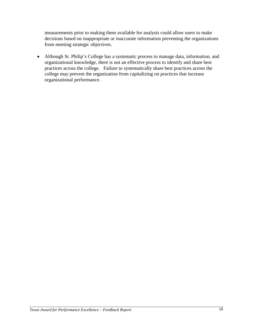measurements prior to making them available for analysis could allow users to make decisions based on inappropriate or inaccurate information preventing the organizations from meeting strategic objectives.

• Although St. Philip's College has a systematic process to manage data, information, and organizational knowledge, there is not an effective process to identify and share best practices across the college. Failure to systematically share best practices across the college may prevent the organization from capitalizing on practices that increase organizational performance.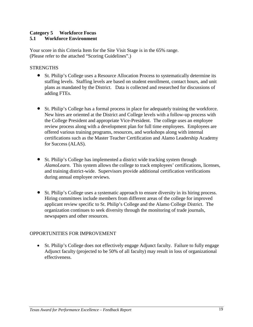#### **Category 5 Workforce Focus 5.1 Workforce Environment**

Your score in this Criteria Item for the Site Visit Stage is in the 65% range. (Please refer to the attached "Scoring Guidelines".)

#### **STRENGTHS**

- St. Philip's College uses a Resource Allocation Process to systematically determine its staffing levels. Staffing levels are based on student enrollment, contact hours, and unit plans as mandated by the District. Data is collected and researched for discussions of adding FTEs.
- St. Philip's College has a formal process in place for adequately training the workforce. New hires are oriented at the District and College levels with a follow-up process with the College President and appropriate Vice-President. The college uses an employee review process along with a development plan for full time employees. Employees are offered various training programs, resources, and workshops along with internal certifications such as the Master Teacher Certification and Alamo Leadership Academy for Success (ALAS).
- St. Philip's College has implemented a district wide tracking system through *AlamoLearn*. This system allows the college to track employees' certifications, licenses, and training district-wide. Supervisors provide additional certification verifications during annual employee reviews.
- St. Philip's College uses a systematic approach to ensure diversity in its hiring process. Hiring committees include members from different areas of the college for improved applicant review specific to St. Philip's College and the Alamo College District. The organization continues to seek diversity through the monitoring of trade journals, newspapers and other resources.

#### OPPORTUNITIES FOR IMPROVEMENT

• St. Philip's College does not effectively engage Adjunct faculty. Failure to fully engage Adjunct faculty (projected to be 50% of all faculty) may result in loss of organizational effectiveness.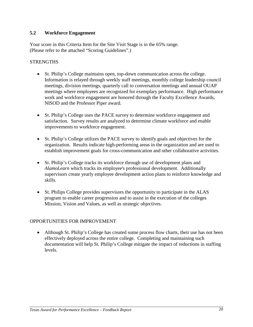#### **5.2 Workforce Engagement**

Your score in this Criteria Item for the Site Visit Stage is in the 65% range. (Please refer to the attached "Scoring Guidelines".)

#### **STRENGTHS**

- St. Philip's College maintains open, top-down communication across the college. Information is relayed through weekly staff meetings, monthly college leadership council meetings, division meetings, quarterly call to conversation meetings and annual OUAP meetings where employees are recognized for exemplary performance. High performance work and workforce engagement are honored through the Faculty Excellence Awards, NISOD and the Professor Piper award.
- St. Philip's College uses the PACE survey to determine workforce engagement and satisfaction. Survey results are analyzed to determine climate workforce and enable improvements to workforce engagement.
- St. Philip's College utilizes the PACE survey to identify goals and objectives for the organization. Results indicate high-performing areas in the organization and are used to establish improvement goals for cross-communication and other collaborative activities.
- St. Philip's College tracks its workforce through use of development plans and *AlamoLearn* which tracks its employee's professional development. Additionally supervisors create yearly employee development action plans to reinforce knowledge and skills.
- St. Philips College provides supervisors the opportunity to participate in the ALAS program to enable career progression and to assist in the execution of the colleges Mission, Vision and Values, as well as strategic objectives.

#### OPPORTUNITIES FOR IMPROVEMENT

• Although St. Philip's College has created some process flow charts, their use has not been effectively deployed across the entire college. Completing and maintaining such documentation will help St. Philip's College mitigate the impact of reductions in staffing levels.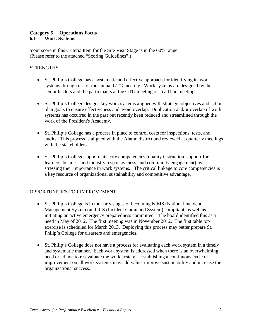#### **Category 6 Operations Focus 6.1 Work Systems**

Your score in this Criteria Item for the Site Visit Stage is in the 60% range. (Please refer to the attached "Scoring Guidelines".)

#### **STRENGTHS**

- St. Philip's College has a systematic and effective approach for identifying its work systems through use of the annual GTG meeting. Work systems are designed by the senior leaders and the participants at the GTG meeting or in ad hoc meetings.
- St. Philip's College designs key work systems aligned with strategic objectives and action plan goals to ensure effectiveness and avoid overlap. Duplication and/or overlap of work systems has occurred in the past but recently been reduced and streamlined through the work of the President's Academy.
- St. Philip's College has a process in place to control costs for inspections, tests, and audits. This process is aligned with the Alamo district and reviewed at quarterly meetings with the stakeholders.
- St. Philip's College supports its core competencies (quality instruction, support for learners, business and industry responsiveness, and community engagement) by stressing their importance in work systems. The critical linkage to core competencies is a key resource of organizational sustainability and competitive advantage.

- St. Philip's College is in the early stages of becoming NIMS (National Incident Management System) and ICS (Incident Command System) compliant, as well as initiating an active emergency preparedness committee. The board identified this as a need in May of 2012. The first meeting was in November 2012. The first table top exercise is scheduled for March 2013. Deploying this process may better prepare St. Philip's College for disasters and emergencies.
- St. Philip's College does not have a process for evaluating each work system in a timely and systematic manner. Each work system is addressed when there is an overwhelming need or ad hoc to re-evaluate the work system. Establishing a continuous cycle of improvement on all work systems may add value, improve sustainability and increase the organizational success.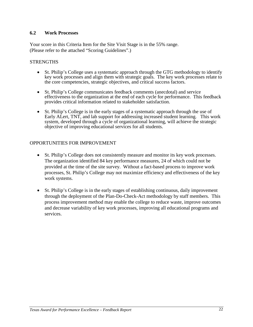#### **6.2 Work Processes**

Your score in this Criteria Item for the Site Visit Stage is in the 55% range. (Please refer to the attached "Scoring Guidelines".)

#### **STRENGTHS**

- St. Philip's College uses a systematic approach through the GTG methodology to identify key work processes and align them with strategic goals. The key work processes relate to the core competencies, strategic objectives, and critical success factors.
- St. Philip's College communicates feedback comments (anecdotal) and service effectiveness to the organization at the end of each cycle for performance. This feedback provides critical information related to stakeholder satisfaction.
- St. Philip's College is in the early stages of a systematic approach through the use of Early ALert, TNT, and lab support for addressing increased student learning. This work system, developed through a cycle of organizational learning, will achieve the strategic objective of improving educational services for all students.

- St. Philip's College does not consistently measure and monitor its key work processes. The organization identified 84 key performance measures, 24 of which could not be provided at the time of the site survey. Without a fact-based process to improve work processes, St. Philip's College may not maximize efficiency and effectiveness of the key work systems.
- St. Philip's College is in the early stages of establishing continuous, daily improvement through the deployment of the Plan-Do-Check-Act methodology by staff members. This process improvement method may enable the college to reduce waste, improve outcomes and decrease variability of key work processes, improving all educational programs and services.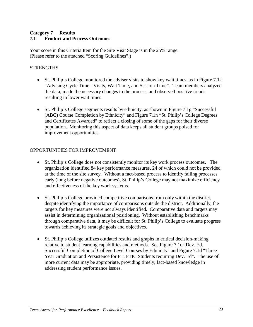#### **Category 7 Results 7.1 Product and Process Outcomes**

Your score in this Criteria Item for the Site Visit Stage is in the 25% range. (Please refer to the attached "Scoring Guidelines".)

#### **STRENGTHS**

- St. Philip's College monitored the adviser visits to show key wait times, as in Figure 7.1k "Advising Cycle Time - Visits, Wait Time, and Session Time". Team members analyzed the data, made the necessary changes to the process, and observed positive trends resulting in lower wait times.
- St. Philip's College segments results by ethnicity, as shown in Figure 7.1g "Successful" (ABC) Course Completion by Ethnicity" and Figure 7.1n "St. Philip's College Degrees and Certificates Awarded" to reflect a closing of some of the gaps for their diverse population. Monitoring this aspect of data keeps all student groups poised for improvement opportunities.

- St. Philip's College does not consistently monitor its key work process outcomes. The organization identified 84 key performance measures, 24 of which could not be provided at the time of the site survey. Without a fact-based process to identify failing processes early (long before negative outcomes), St. Philip's College may not maximize efficiency and effectiveness of the key work systems.
- St. Philip's College provided competitive comparisons from only within the district, despite identifying the importance of comparisons outside the district. Additionally, the targets for key measures were not always identified. Comparative data and targets may assist in determining organizational positioning. Without establishing benchmarks through comparative data, it may be difficult for St. Philip's College to evaluate progress towards achieving its strategic goals and objectives.
- St. Philip's College utilizes outdated results and graphs in critical decision-making relative to student learning capabilities and methods. See Figure 7.1c "Dev. Ed. Successful Completion of College Level Courses by Ethnicity" and Figure 7.1d "Three Year Graduation and Persistence for FT, FTIC Students requiring Dev. Ed". The use of more current data may be appropriate, providing timely, fact-based knowledge in addressing student performance issues.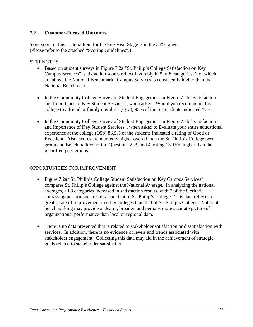#### **7.2 Customer-Focused Outcomes**

Your score in this Criteria Item for the Site Visit Stage is in the 35% range. (Please refer to the attached "Scoring Guidelines".)

#### **STRENGTHS**

- Based on student surveys in Figure 7.2a "St. Philip's College Satisfaction on Key Campus Services", satisfaction scores reflect favorably in 5 of 8 categories, 2 of which are above the National Benchmark. Campus Services is consistently higher than the National Benchmark.
- In the Community College Survey of Student Engagement in Figure 7.2b "Satisfaction" and Importance of Key Student Services", when asked "Would you recommend this college to a friend or family member" (Q5a), 95% of the respondents indicated "yes".
- In the Community College Survey of Student Engagement in Figure 7.2b "Satisfaction and Importance of Key Student Services", when asked to Evaluate your entire educational experience at the college (Q5b) 86.5% of the students indicated a rating of Good or Excellent. Also, scores are markedly higher overall than the St. Philip's College peer group and Benchmark cohort in Questions 2, 3, and 4, rating 13-15% higher than the identified peer groups.

- Figure 7.2a "St. Philip's College Student Satisfaction on Key Campus Services", compares St. Philip's College against the National Average. In analyzing the national averages, all 8 categories increased in satisfaction results, with 7 of the 8 criteria surpassing performance results from that of St. Philip's College. This data reflects a greater rate of improvement in other colleges than that of St. Philip's College. National benchmarking may provide a clearer, broader, and perhaps more accurate picture of organizational performance than local or regional data.
- There is no data presented that is related to stakeholder satisfaction or dissatisfaction with services. In addition, there is no evidence of levels and trends associated with stakeholder engagement. Collecting this data may aid in the achievement of strategic goals related to stakeholder satisfaction.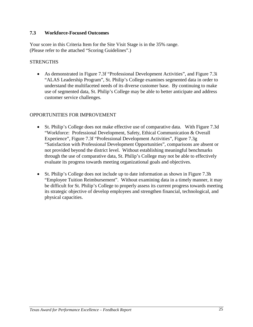#### **7.3 Workforce-Focused Outcomes**

Your score in this Criteria Item for the Site Visit Stage is in the 35% range. (Please refer to the attached "Scoring Guidelines".)

#### **STRENGTHS**

• As demonstrated in Figure 7.3f "Professional Development Activities", and Figure 7.3i "ALAS Leadership Program", St. Philip's College examines segmented data in order to understand the multifaceted needs of its diverse customer base. By continuing to make use of segmented data, St. Philip's College may be able to better anticipate and address customer service challenges.

- St. Philip's College does not make effective use of comparative data. With Figure 7.3d "Workforce: Professional Development, Safety, Ethical Communication & Overall Experience", Figure 7.3f "Professional Development Activities", Figure 7.3g "Satisfaction with Professional Development Opportunities", comparisons are absent or not provided beyond the district level. Without establishing meaningful benchmarks through the use of comparative data, St. Philip's College may not be able to effectively evaluate its progress towards meeting organizational goals and objectives.
- St. Philip's College does not include up to date information as shown in Figure 7.3h "Employee Tuition Reimbursement". Without examining data in a timely manner, it may be difficult for St. Philip's College to properly assess its current progress towards meeting its strategic objective of develop employees and strengthen financial, technological, and physical capacities.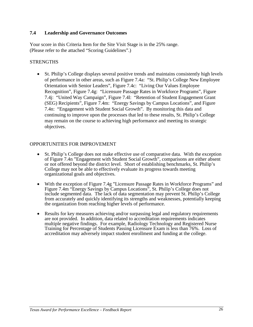#### **7.4 Leadership and Governance Outcomes**

Your score in this Criteria Item for the Site Visit Stage is in the 25% range. (Please refer to the attached "Scoring Guidelines".)

#### **STRENGTHS**

• St. Philip's College displays several positive trends and maintains consistently high levels of performance in other areas, such as Figure 7.4a: "St. Philip's College New Employee Orientation with Senior Leaders", Figure 7.4c: "Living Our Values Employee Recognition", Figure 7.4g: "Licensure Passage Rates in Workforce Programs", Figure 7.4j: "United Way Campaign", Figure 7.4l: "Retention of Student Engagement Grant (SEG) Recipients", Figure 7.4m: "Energy Savings by Campus Locations", and Figure 7.4n: "Engagement with Student Social Growth". By monitoring this data and continuing to improve upon the processes that led to these results, St. Philip's College may remain on the course to achieving high performance and meeting its strategic objectives.

- St. Philip's College does not make effective use of comparative data. With the exception of Figure 7.4n "Engagement with Student Social Growth", comparisons are either absent or not offered beyond the district level. Short of establishing benchmarks, St. Philip's College may not be able to effectively evaluate its progress towards meeting organizational goals and objectives.
- With the exception of Figure 7.4g "Licensure Passage Rates in Workforce Programs" and Figure 7.4m "Energy Savings by Campus Locations", St. Philip's College does not include segmented data. The lack of data segmentation may prevent St. Philip's College from accurately and quickly identifying its strengths and weaknesses, potentially keeping the organization from reaching higher levels of performance.
- Results for key measures achieving and/or surpassing legal and regulatory requirements are not provided. In addition, data related to accreditation requirements indicates multiple negative findings. For example, Radiology Technology and Registered Nurse Training for Percentage of Students Passing Licensure Exam is less than 76%. Loss of accreditation may adversely impact student enrollment and funding at the college.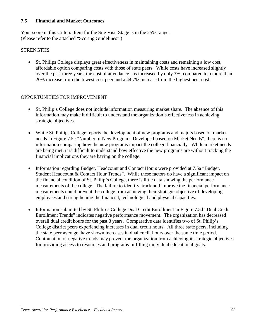#### **7.5 Financial and Market Outcomes**

Your score in this Criteria Item for the Site Visit Stage is in the 25% range. (Please refer to the attached "Scoring Guidelines".)

#### **STRENGTHS**

• St. Philips College displays great effectiveness in maintaining costs and remaining a low cost, affordable option comparing costs with those of state peers. While costs have increased slightly over the past three years, the cost of attendance has increased by only 3%, compared to a more than 20% increase from the lowest cost peer and a 44.7% increase from the highest peer cost.

- St. Philip's College does not include information measuring market share. The absence of this information may make it difficult to understand the organization's effectiveness in achieving strategic objectives.
- While St. Philips College reports the development of new programs and majors based on market needs in Figure 7.5c "Number of New Programs Developed based on Market Needs", there is no information comparing how the new programs impact the college financially. While market needs are being met, it is difficult to understand how effective the new programs are without tracking the financial implications they are having on the college.
- Information regarding Budget, Headcount and Contact Hours were provided at 7.5a "Budget, Student Headcount & Contact Hour Trends". While these factors do have a significant impact on the financial condition of St. Philip's College, there is little data showing the performance measurements of the college. The failure to identify, track and improve the financial performance measurements could prevent the college from achieving their strategic objective of developing employees and strengthening the financial, technological and physical capacities.
- Information submitted by St. Philip's College Dual Credit Enrollment in Figure 7.5d "Dual Credit" Enrollment Trends" indicates negative performance movement. The organization has decreased overall dual credit hours for the past 3 years. Comparative data identifies two of St. Philip's College district peers experiencing increases in dual credit hours. All three state peers, including the state peer average, have shown increases in dual credit hours over the same time period. Continuation of negative trends may prevent the organization from achieving its strategic objectives for providing access to resources and programs fulfilling individual educational goals.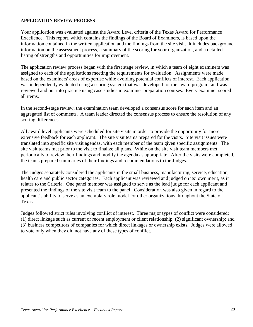#### **APPLICATION REVIEW PROCESS**

Your application was evaluated against the Award Level criteria of the Texas Award for Performance Excellence. This report, which contains the findings of the Board of Examiners, is based upon the information contained in the written application and the findings from the site visit. It includes background information on the assessment process, a summary of the scoring for your organization, and a detailed listing of strengths and opportunities for improvement.

The application review process began with the first stage review, in which a team of eight examiners was assigned to each of the applications meeting the requirements for evaluation. Assignments were made based on the examiners' areas of expertise while avoiding potential conflicts of interest. Each application was independently evaluated using a scoring system that was developed for the award program, and was reviewed and put into practice using case studies in examiner preparation courses. Every examiner scored all items.

In the second-stage review, the examination team developed a consensus score for each item and an aggregated list of comments. A team leader directed the consensus process to ensure the resolution of any scoring differences.

All award level applicants were scheduled for site visits in order to provide the opportunity for more extensive feedback for each applicant. The site visit teams prepared for the visits. Site visit issues were translated into specific site visit agendas, with each member of the team given specific assignments. The site visit teams met prior to the visit to finalize all plans. While on the site visit team members met periodically to review their findings and modify the agenda as appropriate. After the visits were completed, the teams prepared summaries of their findings and recommendations to the Judges.

The Judges separately considered the applicants in the small business, manufacturing, service, education, health care and public sector categories. Each applicant was reviewed and judged on its' own merit, as it relates to the Criteria. One panel member was assigned to serve as the lead judge for each applicant and presented the findings of the site visit team to the panel. Consideration was also given in regard to the applicant's ability to serve as an exemplary role model for other organizations throughout the State of Texas.

Judges followed strict rules involving conflict of interest. Three major types of conflict were considered: (1) direct linkage such as current or recent employment or client relationship; (2) significant ownership; and (3) business competitors of companies for which direct linkages or ownership exists. Judges were allowed to vote only when they did not have any of these types of conflict.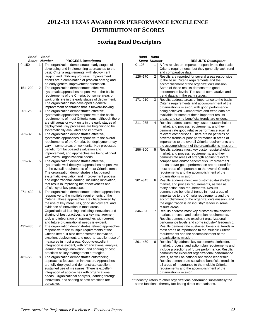# **2012-13 TEXAS AWARD FOR PERFORMANCE EXCELLENCE DISTRIBUTION OF SCORES**

## **Scoring Band Descriptors**

| Band        |   | Band                                                                                                 |
|-------------|---|------------------------------------------------------------------------------------------------------|
| Score       |   | <b>Number</b><br><b>PROCESS Descriptors</b>                                                          |
| $0 - 150$   | 1 | The organization demonstrates early stages of                                                        |
|             |   | developing and implementing approaches to the                                                        |
|             |   | basic Criteria requirements, with deployment                                                         |
|             |   | lagging and inhibiting progress. Improvement                                                         |
|             |   | efforts are a combination of problem solving and                                                     |
|             |   | an early general improvement orientation.                                                            |
| $151 - 200$ | 2 | The organization demonstrates effective,                                                             |
|             |   | systematic approaches responsive to the basic                                                        |
|             |   | requirements of the Criteria, but some areas or                                                      |
|             |   | work units are in the early stages of deployment.                                                    |
|             |   | The organization has developed a general                                                             |
|             |   | improvement orientation that is forward-looking.                                                     |
| $201 - 260$ | 3 | The organization demonstrates effective,                                                             |
|             |   | systematic approaches responsive to the basic                                                        |
|             |   | requirements of most Criteria items, although there                                                  |
|             |   | are still areas or work units in the early stages of                                                 |
|             |   | deployment. Key processes are beginning to be                                                        |
|             |   | systematically evaluated and improved.                                                               |
| $261 - 320$ | 4 | The organization demonstrates effective,                                                             |
|             |   | systematic approaches responsive to the overall                                                      |
|             |   | requirements of the Criteria, but deployment may                                                     |
|             |   | vary in some areas or work units. Key processes                                                      |
|             |   | benefit from fact-based evaluation and                                                               |
|             |   | improvement, and approaches are being aligned                                                        |
|             |   | with overall organizational needs.                                                                   |
| $321 - 370$ | 5 | The organization demonstrates effective,                                                             |
|             |   | systematic, well-deployed approaches responsive                                                      |
|             |   | to the overall requirements of most Criteria items.                                                  |
|             |   | The organization demonstrates a fact-based,                                                          |
|             |   | systematic evaluation and improvement process                                                        |
|             |   | and organizational learning, including innovation,<br>that result in improving the effectiveness and |
|             |   |                                                                                                      |
| 371-430     |   | efficiency of key processes.<br>The organization demonstrates refined approaches                     |
|             | 6 | responsive to the multiple requirements of the                                                       |
|             |   | Criteria. These approaches are characterized by                                                      |
|             |   | the use of key measures, good deployment, and                                                        |
|             |   | evidence of innovation in most areas.                                                                |
|             |   | Organizational learning, including innovation and                                                    |
|             |   | sharing of best practices, is a key management                                                       |
|             |   | tool, and integration of approaches with current                                                     |
|             |   | and future organizational needs is evident.                                                          |
| 431-480     | 7 | The organization demonstrates refined approaches                                                     |
|             |   | responsive to the multiple requirements of the                                                       |
|             |   | Criteria items. It also demonstrates innovation,                                                     |
|             |   | excellent deployment, and good-to-excellent use of                                                   |
|             |   | measures in most areas. Good-to-excellent                                                            |
|             |   | integration is evident, with organizational analysis,                                                |
|             |   | learning through innovation, and sharing of best                                                     |
|             |   | practices as key management strategies.                                                              |
| 481-550     | 8 | The organization demonstrates outstanding                                                            |
|             |   | approaches focused on innovation. Approaches                                                         |
|             |   | are fully deployed and demonstrate excellent,                                                        |
|             |   | sustained use of measures. There is excellent                                                        |
|             |   | integration of approaches with organizational                                                        |
|             |   | needs. Organizational analysis, learning through                                                     |
|             |   | innovation, and sharing of best practices are                                                        |
|             |   | pervasive.                                                                                           |

| Band                | <b>Band</b>    |                                                                                                         |
|---------------------|----------------|---------------------------------------------------------------------------------------------------------|
| <b>Score Number</b> |                | <b>RESULTS Descriptors</b>                                                                              |
| $0 - 125$           | 1              | A few results are reported responsive to the basic                                                      |
|                     |                | Criteria requirements, but they generally lack trend                                                    |
|                     |                | and comparative data.                                                                                   |
| 126-170             | $\overline{c}$ | Results are reported for several areas responsive                                                       |
|                     |                | to the basic Criteria requirements and the                                                              |
|                     |                | accomplishment of the organization's mission.                                                           |
|                     |                | Some of these results demonstrate good                                                                  |
|                     |                | performance levels. The use of comparative and                                                          |
|                     |                | trend data is in the early stages.                                                                      |
| $171 - 210$         | 3              | Results address areas of importance to the basic                                                        |
|                     |                | Criteria requirements and accomplishment of the                                                         |
|                     |                | organization's mission, with good performance                                                           |
|                     |                | being achieved. Comparative and trend data are                                                          |
|                     |                | available for some of these important results                                                           |
|                     |                | areas, and some beneficial trends are evident.                                                          |
| $211 - 255$         | 4              | Results address some key customer/stakeholder,                                                          |
|                     |                | market, and process requirements, and they                                                              |
|                     |                | demonstrate good relative performance against                                                           |
|                     |                | relevant comparisons. There are no patterns of                                                          |
|                     |                | adverse trends or poor performance in areas of                                                          |
|                     |                | importance to the overall Criteria requirements and                                                     |
|                     |                | the accomplishment of the organization's mission.                                                       |
| 256-300             | 5              | Results address most key customer/stakeholder,                                                          |
|                     |                | market, and process requirements, and they                                                              |
|                     |                | demonstrate areas of strength against relevant                                                          |
|                     |                | comparisons and/or benchmarks. Improvement                                                              |
|                     |                | trends and/or good performance are reported for                                                         |
|                     |                | most areas of importance to the overall Criteria                                                        |
|                     |                | requirements and the accomplishment of the                                                              |
|                     |                | organization's mission.                                                                                 |
| $301 - 345$         | 6              | Results address most key customer/stakeholder,                                                          |
|                     |                | market, and process requirements, as well as                                                            |
|                     |                | many action plan requirements. Results                                                                  |
|                     |                | demonstrate beneficial trends in most areas of                                                          |
|                     |                | importance to the Criteria requirements and the                                                         |
|                     |                | accomplishment of the organization's mission, and                                                       |
|                     |                | the organization is an industry* leader in some                                                         |
|                     |                | results areas.                                                                                          |
| 346-390             | 7              | Results address most key customer/stakeholder,                                                          |
|                     |                | market, process, and action plan requirements.                                                          |
|                     |                | Results demonstrate excellent organizational                                                            |
|                     |                | performance levels and some industry* leadership.                                                       |
|                     |                | Results demonstrate sustained beneficial trends in                                                      |
|                     |                | most areas of importance to the multiple Criteria                                                       |
|                     |                | requirements and the accomplishment of the                                                              |
| 391-450             |                | organization's mission.                                                                                 |
|                     | 8              | Results fully address key customer/stakeholder,                                                         |
|                     |                | market, process, and action plan requirements and<br>include projections of future performance. Results |
|                     |                | demonstrate excellent organizational performance                                                        |
|                     |                | levels, as well as national and world leadership.                                                       |
|                     |                | Results demonstrate sustained beneficial trends in                                                      |
|                     |                | all areas of importance to the multiple Criteria                                                        |
|                     |                | requirements and the accomplishment of the                                                              |
|                     |                | organization's mission.                                                                                 |
|                     |                |                                                                                                         |

\* "Industry" refers to other organizations performing substantially the same functions, thereby facilitating direct comparisons.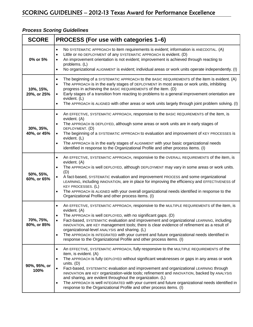| <b>SCORE</b>             | PROCESS (For use with categories 1-6)                                                                                                                                                                                                                                                                                                                                                                                                                                                                                                                                                                                                                                                              |  |  |  |
|--------------------------|----------------------------------------------------------------------------------------------------------------------------------------------------------------------------------------------------------------------------------------------------------------------------------------------------------------------------------------------------------------------------------------------------------------------------------------------------------------------------------------------------------------------------------------------------------------------------------------------------------------------------------------------------------------------------------------------------|--|--|--|
| 0% or 5%                 | No SYSTEMATIC APPROACH to item requirements is evident; information is ANECDOTAL. (A)<br>$\bullet$<br>Little or no DEPLOYMENT of any SYSTEMATIC APPROACH is evident. (D)<br>An improvement orientation is not evident; improvement is achieved through reacting to<br>problems. (L)<br>No organizational ALIGNMENT is evident; individual areas or work units operate independently. (I)<br>$\bullet$                                                                                                                                                                                                                                                                                              |  |  |  |
| 10%, 15%,<br>20%, or 25% | The beginning of a SYSTEMATIC APPROACH to the BASIC REQUIREMENTS of the item is evident. (A)<br>$\bullet$<br>The APPROACH is in the early stages of DEPLOYMENT in most areas or work units, inhibiting<br>progress in achieving the BASIC REQUIREMENTS of the item. (D)<br>Early stages of a transition from reacting to problems to a general improvement orientation are<br>evident. (L)<br>The APPROACH is ALIGNED with other areas or work units largely through joint problem solving. (I)                                                                                                                                                                                                    |  |  |  |
| 30%, 35%,<br>40%, or 45% | An EFFECTIVE, SYSTEMATIC APPROACH, responsive to the BASIC REQUIREMENTS of the item, is<br>evident. (A)<br>The APPROACH is DEPLOYED, although some areas or work units are in early stages of<br>DEPLOYMENT. (D)<br>The beginning of a SYSTEMATIC APPROACH to evaluation and improvement of KEY PROCESSES is<br>evident. (L)<br>The APPROACH is in the early stages of ALIGNMENT with your basic organizational needs<br>identified in response to the Organizational Profile and other process items. (I)                                                                                                                                                                                         |  |  |  |
| 50%, 55%,<br>60%, or 65% | An EFFECTIVE, SYSTEMATIC APPROACH, responsive to the OVERALL REQUIREMENTS of the item, is<br>$\bullet$<br>evident. (A)<br>The APPROACH is well DEPLOYED, although DEPLOYMENT may vary in some areas or work units.<br>$\bullet$<br>(D)<br>A fact-based, SYSTEMATIC evaluation and improvement PROCESS and some organizational<br>LEARNING, including INNOVATION, are in place for improving the efficiency and EFFECTIVENESS of<br><b>KEY PROCESSES. (L)</b><br>The APPROACH is ALIGNED with your overall organizational needs identified in response to the<br>$\bullet$<br>Organizational Profile and other process items. (I)                                                                   |  |  |  |
| 70%, 75%,<br>80%, or 85% | An EFFECTIVE, SYSTEMATIC APPROACH, responsive to the MULTIPLE REQUIREMENTS of the item, is<br>evident. (A)<br>The APPROACH is well DEPLOYED, with no significant gaps. (D)<br>Fact-based, SYSTEMATIC evaluation and improvement and organizational LEARNING, including<br>INNOVATION, are KEY management tools; there is clear evidence of refinement as a result of<br>organizational-level ANALYSIS and sharing. (L)<br>The APPROACH is INTEGRATED with your current and future organizational needs identified in<br>$\bullet$<br>response to the Organizational Profile and other process items. (I)                                                                                           |  |  |  |
| 90%, 95%, or<br>100%     | An EFFECTIVE, SYSTEMATIC APPROACH, fully responsive to the MULTIPLE REQUIREMENTS of the<br>$\bullet$<br>item, is evident. (A)<br>The APPROACH is fully DEPLOYED without significant weaknesses or gaps in any areas or work<br>$\bullet$<br>units. $(D)$<br>Fact-based, SYSTEMATIC evaluation and improvement and organizational LEARNING through<br>INNOVATION are KEY organization-wide tools; refinement and INNOVATION, backed by ANALYSIS<br>and sharing, are evident throughout the organization. (L)<br>The APPROACH is well INTEGRATED with your current and future organizational needs identified in<br>$\bullet$<br>response to the Organizational Profile and other process items. (I) |  |  |  |

#### *Process Scoring Guidelines*